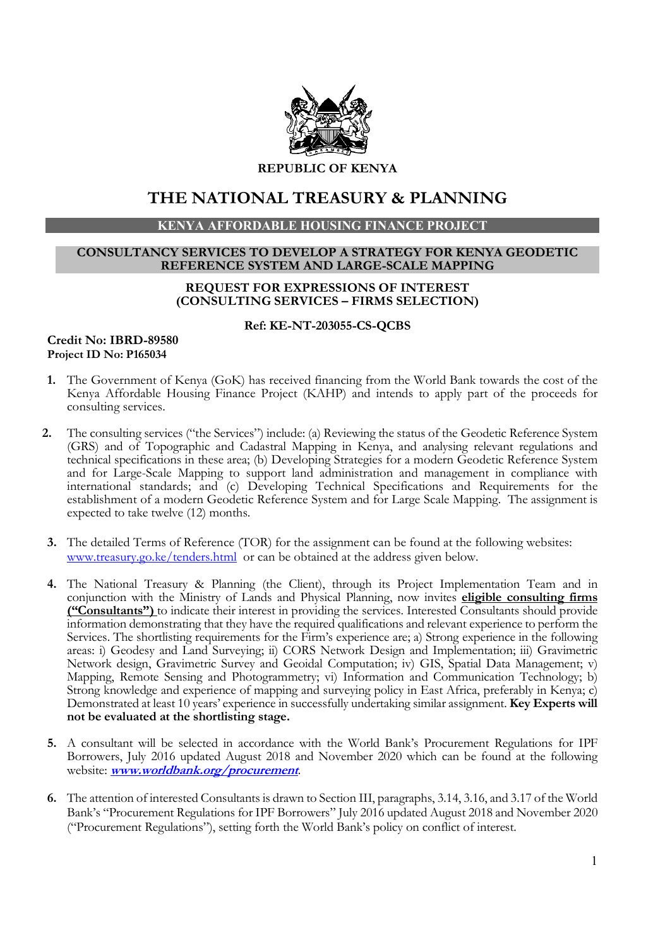

REPUBLIC OF KENYA

# THE NATIONAL TREASURY & PLANNING

## KENYA AFFORDABLE HOUSING FINANCE PROJECT

#### CONSULTANCY SERVICES TO DEVELOP A STRATEGY FOR KENYA GEODETIC REFERENCE SYSTEM AND LARGE-SCALE MAPPING

## REQUEST FOR EXPRESSIONS OF INTEREST (CONSULTING SERVICES – FIRMS SELECTION)

#### Ref: KE-NT-203055-CS-QCBS

### Credit No: IBRD-89580 Project ID No: P165034

- 1. The Government of Kenya (GoK) has received financing from the World Bank towards the cost of the Kenya Affordable Housing Finance Project (KAHP) and intends to apply part of the proceeds for consulting services.
- 2. The consulting services ("the Services") include: (a) Reviewing the status of the Geodetic Reference System (GRS) and of Topographic and Cadastral Mapping in Kenya, and analysing relevant regulations and technical specifications in these area; (b) Developing Strategies for a modern Geodetic Reference System and for Large-Scale Mapping to support land administration and management in compliance with international standards; and (c) Developing Technical Specifications and Requirements for the establishment of a modern Geodetic Reference System and for Large Scale Mapping. The assignment is expected to take twelve (12) months.
- 3. The detailed Terms of Reference (TOR) for the assignment can be found at the following websites: www.treasury.go.ke/tenders.html or can be obtained at the address given below.
- 4. The National Treasury & Planning (the Client), through its Project Implementation Team and in conjunction with the Ministry of Lands and Physical Planning, now invites eligible consulting firms ("Consultants") to indicate their interest in providing the services. Interested Consultants should provide information demonstrating that they have the required qualifications and relevant experience to perform the Services. The shortlisting requirements for the Firm's experience are; a) Strong experience in the following areas: i) Geodesy and Land Surveying; ii) CORS Network Design and Implementation; iii) Gravimetric Network design, Gravimetric Survey and Geoidal Computation; iv) GIS, Spatial Data Management; v) Mapping, Remote Sensing and Photogrammetry; vi) Information and Communication Technology; b) Strong knowledge and experience of mapping and surveying policy in East Africa, preferably in Kenya; c) Demonstrated at least 10 years' experience in successfully undertaking similar assignment. Key Experts will not be evaluated at the shortlisting stage.
- 5. A consultant will be selected in accordance with the World Bank's Procurement Regulations for IPF Borrowers, July 2016 updated August 2018 and November 2020 which can be found at the following website: www.worldbank.org/procurement.
- 6. The attention of interested Consultants is drawn to Section III, paragraphs, 3.14, 3.16, and 3.17 of the World Bank's "Procurement Regulations for IPF Borrowers" July 2016 updated August 2018 and November 2020 ("Procurement Regulations"), setting forth the World Bank's policy on conflict of interest.